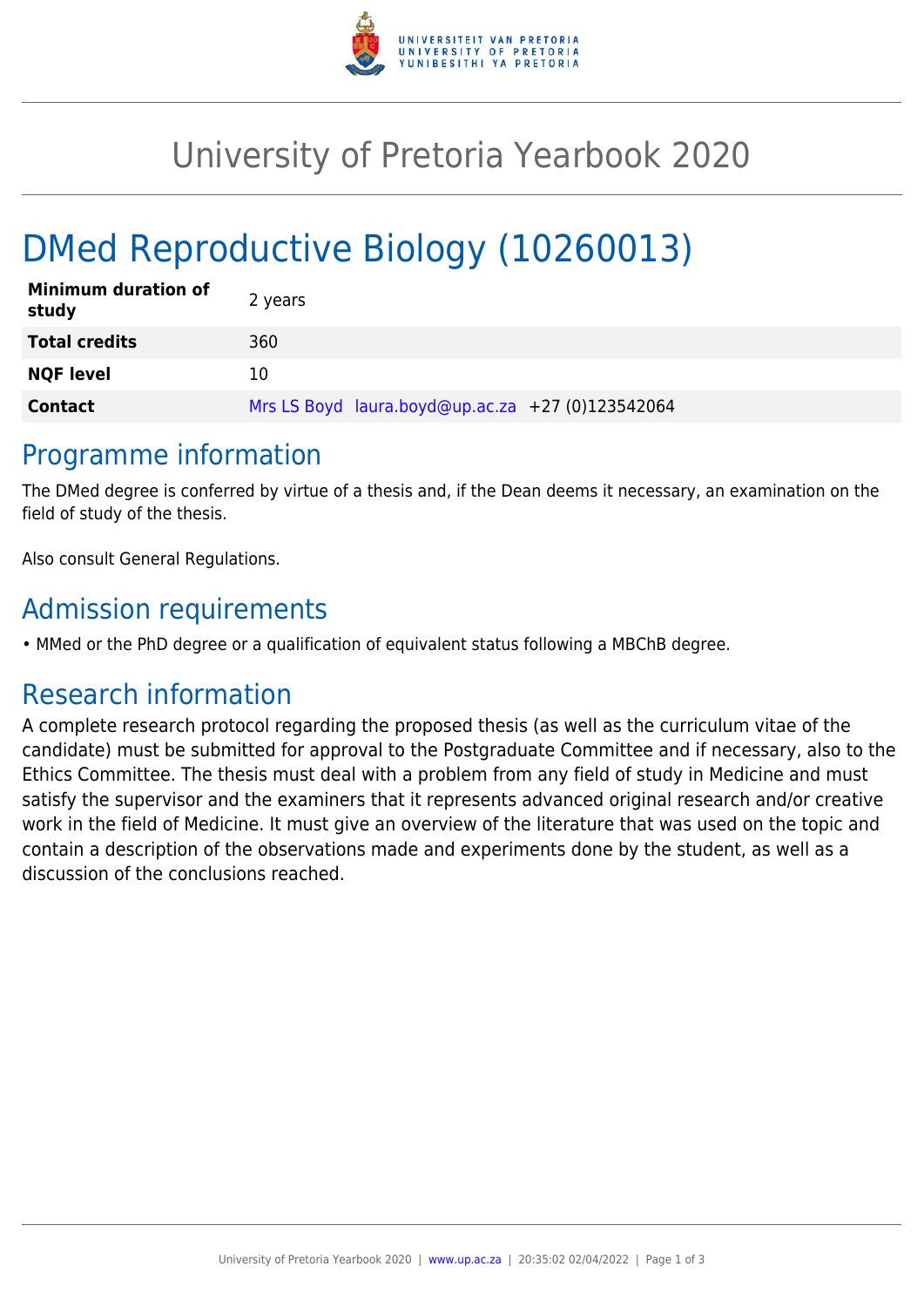

## University of Pretoria Yearbook 2020

# DMed Reproductive Biology (10260013)

| <b>Minimum duration of</b><br>study | 2 years                                          |
|-------------------------------------|--------------------------------------------------|
| <b>Total credits</b>                | 360                                              |
| <b>NQF level</b>                    | 10                                               |
| <b>Contact</b>                      | Mrs LS Boyd laura.boyd@up.ac.za +27 (0)123542064 |

#### Programme information

The DMed degree is conferred by virtue of a thesis and, if the Dean deems it necessary, an examination on the field of study of the thesis.

Also consult General Regulations.

### Admission requirements

• MMed or the PhD degree or a qualification of equivalent status following a MBChB degree.

### Research information

A complete research protocol regarding the proposed thesis (as well as the curriculum vitae of the candidate) must be submitted for approval to the Postgraduate Committee and if necessary, also to the Ethics Committee. The thesis must deal with a problem from any field of study in Medicine and must satisfy the supervisor and the examiners that it represents advanced original research and/or creative work in the field of Medicine. It must give an overview of the literature that was used on the topic and contain a description of the observations made and experiments done by the student, as well as a discussion of the conclusions reached.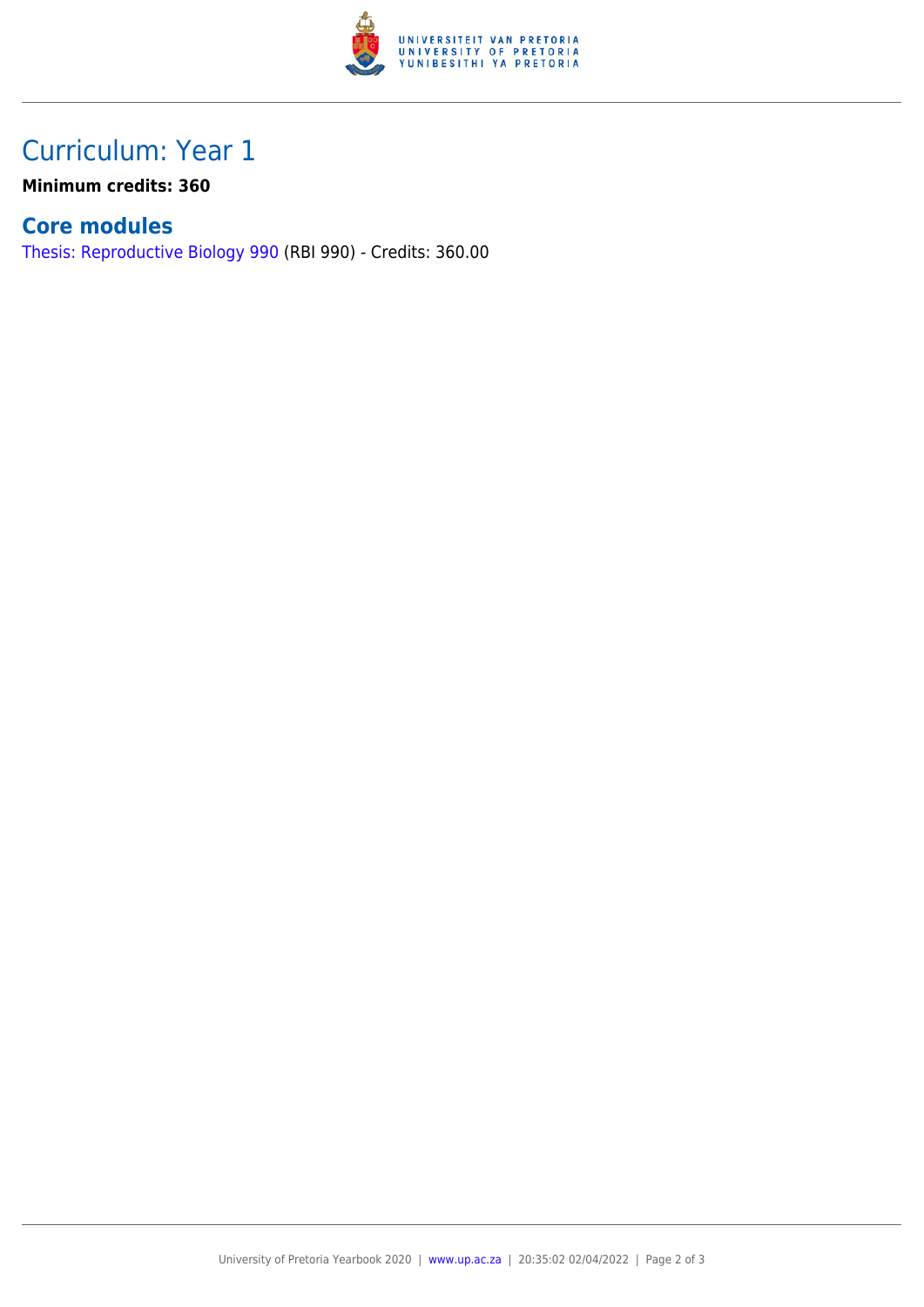

## Curriculum: Year 1

**Minimum credits: 360**

#### **Core modules**

[Thesis: Reproductive Biology 990](https://www.up.ac.za/parents/yearbooks/2020/modules/view/RBI 990) (RBI 990) - Credits: 360.00